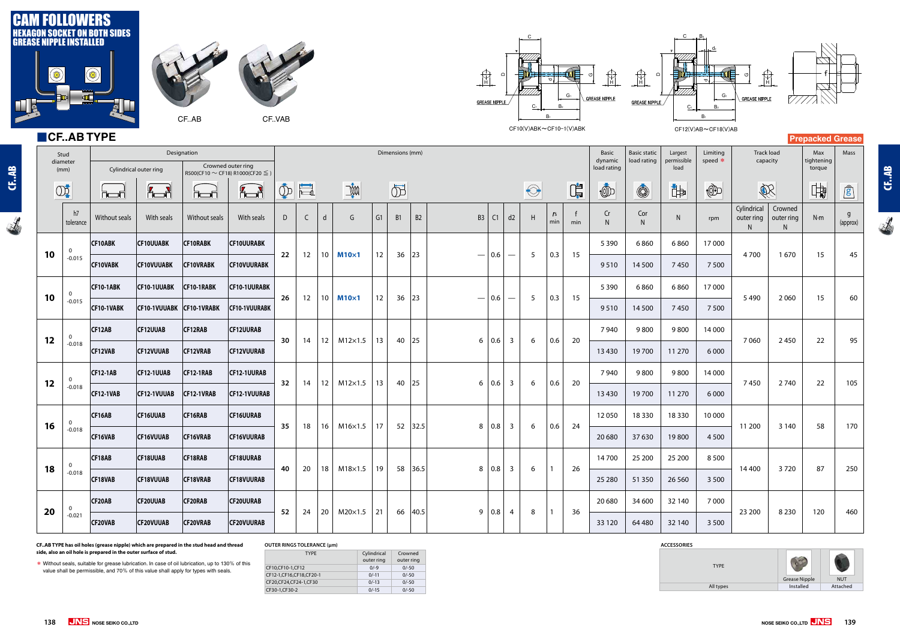**INTER CHANGE ROLLER CAM NEEDLE ROLLER ROLLER CF..AB**

CF..AB

 $\overline{\mathcal{A}}$ 



CF.AB **INTER CHANGE ROLLER CAM NEEDLE ROLLER ROLLER CF..AB**



# ■**CF..AB TYPE**

**138 JNS** NOSE SEIKO CO.,LTD

| <b>TYPE</b> | <b>Grease Nipple</b> | <b>NUT</b> |
|-------------|----------------------|------------|
|             |                      |            |
| All types   | Installed            | Attached   |
|             |                      |            |

# **OUTER RINGS TOLERANCE (μm)**

| <b>TYPE</b>                | Cylindrical<br>outer ring | Crowned<br>outer ring |
|----------------------------|---------------------------|-----------------------|
| CF10, CF10-1, CF12         | $0/-9$                    | $0/-50$               |
| CF12-1, CF16, CF18, CF20-1 | $0/-11$                   | $0/-50$               |
| CF20, CF24, CF24-1, CF30   | $0/-13$                   | $0/-50$               |
| CF30-1,CF30-2              | $0/-15$                   | $0/-50$               |

## **CF..AB TYPE has oil holes (grease nipple) which are prepared in the stud head and thread side, also an oil hole is prepared in the outer surface of stud.**

| * Without seals, suitable for grease lubrication. In case of oil lubrication, up to 130% of this |
|--------------------------------------------------------------------------------------------------|
| value shall be permissible, and 70% of this value shall apply for types with seals.              |

|           | $\blacksquare$ CFAB IYPE |                        |                                                                  |                  |                    |        |        |                 |                            |    |               |            |                                         |                                                       |                                 |                                         |                                |                       |                               |             |                             |                                |                            | <b>Prepacked Grease</b> |                            |
|-----------|--------------------------|------------------------|------------------------------------------------------------------|------------------|--------------------|--------|--------|-----------------|----------------------------|----|---------------|------------|-----------------------------------------|-------------------------------------------------------|---------------------------------|-----------------------------------------|--------------------------------|-----------------------|-------------------------------|-------------|-----------------------------|--------------------------------|----------------------------|-------------------------|----------------------------|
|           | Stud<br>diameter<br>(mm) | Cylindrical outer ring | Crowned outer ring<br>R500(CF10 $\sim$ CF18) R1000(CF20 $\leq$ ) | Dimensions (mm)  |                    |        |        |                 |                            |    |               |            |                                         |                                                       | Basic<br>dynamic<br>load rating | <b>Basic static</b><br>load rating      | Largest<br>permissible<br>load | Limiting<br>speed $*$ | <b>Track load</b><br>capacity |             | Max<br>tightening<br>torque | Mass                           |                            |                         |                            |
|           | OD                       | ra F                   | <del>。</del> 】                                                   | <b>hoof</b>      | $\sqrt{2}$         | $\Phi$ | $\Box$ | $\mathbb{R}$    |                            |    | $\circled{b}$ |            |                                         | $\bigodot$                                            |                                 | $\mathbb{G}^{\text{in}}_{\overline{H}}$ | $\circled{0}$                  | $\circledS$           | 中                             | $\bigoplus$ | R                           |                                | 中                          | $\mathbf{r}$            |                            |
|           | h7<br>tolerance          | Without seals          | With seals                                                       | Without seals    | With seals         | D      | C      |                 | G                          | G1 | <b>B1</b>     | B2         | B <sub>3</sub><br>C1                    | d2                                                    | H                               | r <sub>s</sub><br>min                   | min                            | Cr                    | Cor<br>N                      | N           | rpm                         | Cylindrical<br>outer ring<br>N | Crowned<br>outer ring<br>N | N·m                     | $\overline{g}$<br>(approx) |
| 10        | $\mathbf{0}$             | <b>CF10ABK</b>         | <b>CF10UUABK</b>                                                 | <b>CF10RABK</b>  | <b>CF10UURABK</b>  | 22     | 12     | 10 <sup>°</sup> | $M10\times1$               | 12 |               |            | $\vert$ 0.6<br>$\overline{\phantom{m}}$ |                                                       | -5                              | 0.3                                     | 15                             | 5 3 9 0               | 6860                          | 6860        | 17000                       | 4700                           |                            | 15                      |                            |
|           | $-0.015$                 | <b>CF10VABK</b>        | <b>CF10VUUABK</b>                                                | <b>CF10VRABK</b> | <b>CF10VUURABK</b> |        |        |                 |                            |    | $36 \mid 23$  |            |                                         | $\overbrace{\phantom{13333}}$                         |                                 |                                         |                                | 9510                  | 14 500                        | 7450        | 7 5 0 0                     |                                | 1670                       |                         | 45                         |
| 10        | $\mathbf{0}$             | <b>CF10-1ABK</b>       | CF10-1UUABK CF10-1RABK                                           |                  | CF10-1UURABK       | 26     | 12     | 10              | $M10\times1$               | 12 | $36 \mid 23$  |            | $\vert$ 0.6<br>$\qquad \qquad -$        | $\hspace{0.05cm}$                                     | 5                               | 0.3                                     | 15                             | 5 3 9 0               | 6860                          | 6860        | 17 000                      | 5490                           | 2060                       | 15                      | 60                         |
|           | $-0.015$                 | CF10-1VABK             | CF10-1VUUABK CF10-1VRABK                                         |                  | CF10-1VUURABK      |        |        |                 |                            |    |               |            |                                         |                                                       |                                 |                                         |                                | 9510                  | 14 500                        | 7450        | 7 5 0 0                     |                                |                            |                         |                            |
| 12        | $\mathbf{0}$             | CF12AB                 | <b>CF12UUAB</b>                                                  | CF12RAB          | <b>CF12UURAB</b>   | 30     | 14     | 12              | $M12\times1.5$             | 13 |               | 40 25      | $6 \mid 0.6$                            | $\overline{\mathbf{3}}$                               | 6                               | 0.6                                     | 20                             | 7940                  | 9800                          | 9800        | 14 000                      | 7060                           | 2450                       | 22                      | 95                         |
|           | $-0.018$                 | CF12VAB                | <b>CF12VUUAB</b>                                                 | <b>CF12VRAB</b>  | <b>CF12VUURAB</b>  |        |        |                 |                            |    |               |            |                                         |                                                       |                                 |                                         |                                | 13 4 30               | 19700                         | 11 270      | 6 0 0 0                     |                                |                            |                         |                            |
| 12        | $\overline{0}$           | <b>CF12-1AB</b>        | CF12-1UUAB                                                       | CF12-1RAB        | CF12-1UURAB        | 32     | 14     | 12              | $M12\times1.5$             | 13 |               | 40 25      | $6 \mid 0.6$                            | $\overline{\mathbf{3}}$                               | 6                               | 0.6                                     | 20                             | 7940                  | 9800                          | 9800        | 14 000                      | 7450                           | 2740                       | 22                      | 105                        |
|           | $-0.018$                 | <b>CF12-1VAB</b>       | CF12-1VUUAB                                                      | CF12-1VRAB       | CF12-1VUURAB       |        |        |                 |                            |    |               |            |                                         |                                                       |                                 |                                         |                                | 13 4 30               | 19700                         | 11 270      | 6 0 0 0                     |                                |                            |                         |                            |
| 16        | $\mathbf{0}$             | CF16AB                 | <b>CF16UUAB</b>                                                  | CF16RAB          | <b>CF16UURAB</b>   | 35     | 18     | 16              | $M16\times1.5$             | 17 |               | $52$  32.5 | $8 \mid 0.8$                            | $\overline{\mathbf{3}}$                               | 6                               | 0.6                                     | 24                             | 12050                 | 18 3 30                       | 18330       | 10 000                      | 11 200                         | 3 1 4 0                    | 58                      | 170                        |
|           | $-0.018$                 | CF16VAB                | <b>CF16VUUAB</b>                                                 | CF16VRAB         | <b>CF16VUURAB</b>  |        |        |                 |                            |    |               |            |                                         |                                                       |                                 |                                         |                                | 20 680                | 37 630                        | 19800       | 4 5 0 0                     |                                |                            |                         |                            |
| 18        | 0<br>-0.018              | CF18AB                 | <b>CF18UUAB</b>                                                  | CF18RAB          | <b>CF18UURAB</b>   | 40     |        |                 | 20   18   M18×1.5   19     |    |               |            | $8 \mid 0.8 \mid$                       | $\begin{array}{ c c } \hline 3 \\ \hline \end{array}$ | 6                               |                                         | 26                             | 14700                 | 25 200                        | 25 200      | 8500                        | 14 400                         | 3720                       | 87                      | 250                        |
|           |                          | CF18VAB                | <b>CF18VUUAB</b>                                                 | CF18VRAB         | <b>CF18VUURAB</b>  |        |        |                 |                            |    |               | 58 36.5    |                                         |                                                       |                                 |                                         |                                | 25 280                | 51 350                        | 26 5 60     | 3 5 0 0                     |                                |                            |                         |                            |
| <b>20</b> |                          | CF20AB                 | <b>CF20UUAB</b>                                                  | CF20RAB          | <b>CF20UURAB</b>   | 52     | 24     |                 | 20   M20 $\times$ 1.5   21 |    |               | 66 40.5    | $9 \mid 0.8$                            |                                                       | 8                               |                                         | 36                             | 20 680                | 34 600                        | 32 140      | 7 0 0 0                     |                                |                            | 120                     | 460                        |
|           | $-0.021$                 | CF20VAB                | <b>CF20VUUAB</b>                                                 | <b>CF20VRAB</b>  | <b>CF20VUURAB</b>  |        |        |                 |                            |    |               |            |                                         | $\overline{4}$                                        |                                 |                                         |                                | 33 1 20               | 64 480                        | 32 140      | 3 5 0 0                     | 23 200                         | 8 2 3 0                    |                         |                            |